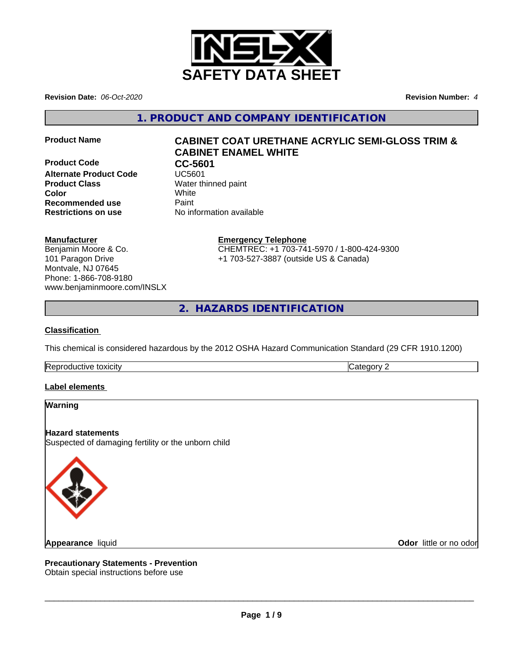

**Revision Date:** *06-Oct-2020* **Revision Number:** *4*

**1. PRODUCT AND COMPANY IDENTIFICATION**

**Product Code CC-5601**<br>Alternate Product Code **CC-5601 Alternate Product Code Product Class** Water thinned paint **Color** White **Recommended use** Paint **Restrictions on use** No information available

# **Product Name CABINET COAT URETHANE ACRYLIC SEMI-GLOSS TRIM & CABINET ENAMEL WHITE**

## **Manufacturer**

Benjamin Moore & Co. 101 Paragon Drive Montvale, NJ 07645 Phone: 1-866-708-9180 www.benjaminmoore.com/INSLX

## **Emergency Telephone**

CHEMTREC: +1 703-741-5970 / 1-800-424-9300 +1 703-527-3887 (outside US & Canada)

**2. HAZARDS IDENTIFICATION**

## **Classification**

This chemical is considered hazardous by the 2012 OSHA Hazard Communication Standard (29 CFR 1910.1200)

Reproductive toxicity **Category 2 Category 2** 

## **Label elements**

## **Warning**

**Hazard statements** Suspected of damaging fertility or the unborn child



**Appearance** liquid

**Odor** little or no odor

**Precautionary Statements - Prevention** Obtain special instructions before use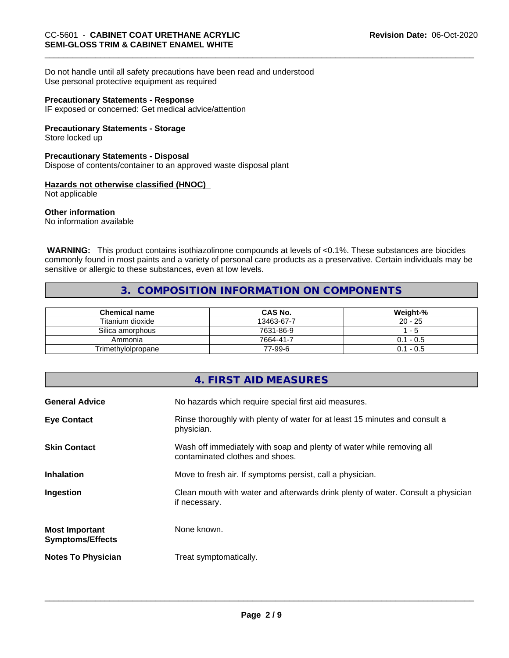Do not handle until all safety precautions have been read and understood Use personal protective equipment as required

#### **Precautionary Statements - Response**

IF exposed or concerned: Get medical advice/attention

## **Precautionary Statements - Storage**

Store locked up

## **Precautionary Statements - Disposal**

Dispose of contents/container to an approved waste disposal plant

## **Hazards not otherwise classified (HNOC)**

Not applicable

## **Other information**

No information available

 **WARNING:** This product contains isothiazolinone compounds at levels of <0.1%. These substances are biocides commonly found in most paints and a variety of personal care products as a preservative. Certain individuals may be sensitive or allergic to these substances, even at low levels.

## **3. COMPOSITION INFORMATION ON COMPONENTS**

| <b>Chemical name</b> | <b>CAS No.</b> | Weight-%    |
|----------------------|----------------|-------------|
| Titanium dioxide     | 13463-67-7     | $20 - 25$   |
| Silica amorphous     | 7631-86-9      | - 5         |
| Ammonia              | 7664-41-7      | $0.1 - 0.5$ |
| Trimethylolpropane   | 77-99-6        | $0.1 - 0.5$ |

|                                                  | <b>4. FIRST AID MEASURES</b>                                                                             |
|--------------------------------------------------|----------------------------------------------------------------------------------------------------------|
| <b>General Advice</b>                            | No hazards which require special first aid measures.                                                     |
| <b>Eye Contact</b>                               | Rinse thoroughly with plenty of water for at least 15 minutes and consult a<br>physician.                |
| <b>Skin Contact</b>                              | Wash off immediately with soap and plenty of water while removing all<br>contaminated clothes and shoes. |
| <b>Inhalation</b>                                | Move to fresh air. If symptoms persist, call a physician.                                                |
| Ingestion                                        | Clean mouth with water and afterwards drink plenty of water. Consult a physician<br>if necessary.        |
| <b>Most Important</b><br><b>Symptoms/Effects</b> | None known.                                                                                              |
| <b>Notes To Physician</b>                        | Treat symptomatically.                                                                                   |
|                                                  |                                                                                                          |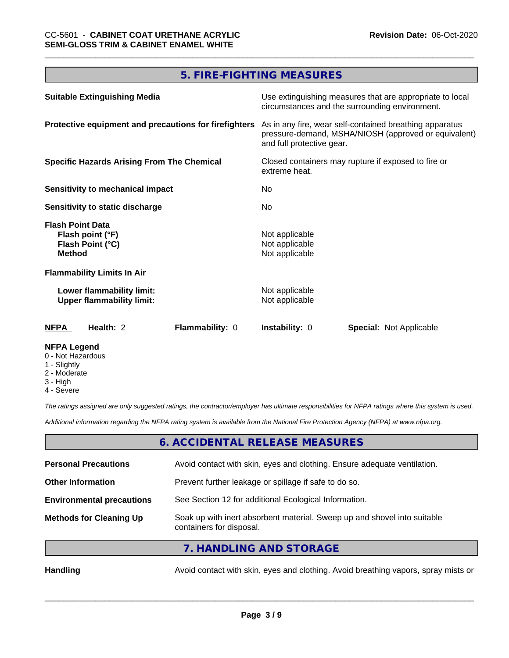# **5. FIRE-FIGHTING MEASURES**

| <b>Suitable Extinguishing Media</b>                                              | Use extinguishing measures that are appropriate to local<br>circumstances and the surrounding environment.                                   |  |  |
|----------------------------------------------------------------------------------|----------------------------------------------------------------------------------------------------------------------------------------------|--|--|
| Protective equipment and precautions for firefighters                            | As in any fire, wear self-contained breathing apparatus<br>pressure-demand, MSHA/NIOSH (approved or equivalent)<br>and full protective gear. |  |  |
| <b>Specific Hazards Arising From The Chemical</b>                                | Closed containers may rupture if exposed to fire or<br>extreme heat.<br>No.<br>No.                                                           |  |  |
| Sensitivity to mechanical impact                                                 |                                                                                                                                              |  |  |
| <b>Sensitivity to static discharge</b>                                           |                                                                                                                                              |  |  |
| <b>Flash Point Data</b><br>Flash point (°F)<br>Flash Point (°C)<br><b>Method</b> | Not applicable<br>Not applicable<br>Not applicable                                                                                           |  |  |
| <b>Flammability Limits In Air</b>                                                |                                                                                                                                              |  |  |
| Lower flammability limit:<br><b>Upper flammability limit:</b>                    | Not applicable<br>Not applicable                                                                                                             |  |  |
| <b>NFPA</b><br>Health: 2<br>Flammability: 0                                      | <b>Instability: 0</b><br><b>Special: Not Applicable</b>                                                                                      |  |  |
| <b>NFPA Legend</b>                                                               |                                                                                                                                              |  |  |

- 0 Not Hazardous
- 1 Slightly
- 2 Moderate
- 3 High
- 4 Severe

*The ratings assigned are only suggested ratings, the contractor/employer has ultimate responsibilities for NFPA ratings where this system is used.*

*Additional information regarding the NFPA rating system is available from the National Fire Protection Agency (NFPA) at www.nfpa.org.*

## **6. ACCIDENTAL RELEASE MEASURES**

| <b>Personal Precautions</b>      | Avoid contact with skin, eyes and clothing. Ensure adequate ventilation.                             |
|----------------------------------|------------------------------------------------------------------------------------------------------|
| <b>Other Information</b>         | Prevent further leakage or spillage if safe to do so.                                                |
| <b>Environmental precautions</b> | See Section 12 for additional Ecological Information.                                                |
| <b>Methods for Cleaning Up</b>   | Soak up with inert absorbent material. Sweep up and shovel into suitable<br>containers for disposal. |
|                                  |                                                                                                      |

**7. HANDLING AND STORAGE**

Handling **Handling** Avoid contact with skin, eyes and clothing. Avoid breathing vapors, spray mists or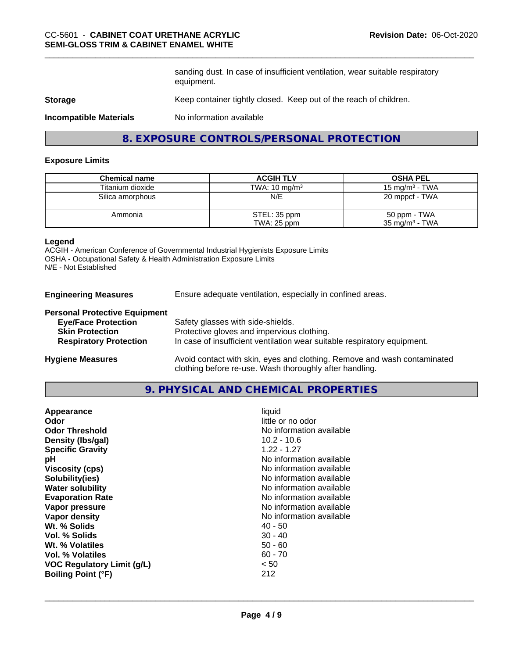sanding dust. In case of insufficient ventilation, wear suitable respiratory equipment.

#### **Storage** Keep container tightly closed. Keep out of the reach of children.

**Incompatible Materials** No information available

## **8. EXPOSURE CONTROLS/PERSONAL PROTECTION**

#### **Exposure Limits**

| <b>Chemical name</b> | <b>ACGIH TLV</b>         | <b>OSHA PEL</b>           |
|----------------------|--------------------------|---------------------------|
| Titanium dioxide     | TWA: $10 \text{ mg/m}^3$ | 15 mg/m $3$ - TWA         |
| Silica amorphous     | N/E                      | 20 mppcf - TWA            |
| Ammonia              | STEL: 35 ppm             | 50 ppm - TWA              |
|                      | TWA: 25 ppm              | $35 \text{ mg/m}^3$ - TWA |

## **Legend**

ACGIH - American Conference of Governmental Industrial Hygienists Exposure Limits OSHA - Occupational Safety & Health Administration Exposure Limits N/E - Not Established

**Engineering Measures** Ensure adequate ventilation, especially in confined areas.

#### **Personal Protective Equipment**

| <b>Eye/Face Protection</b>    | Safety glasses with side-shields.                                        |
|-------------------------------|--------------------------------------------------------------------------|
| <b>Skin Protection</b>        | Protective gloves and impervious clothing.                               |
| <b>Respiratory Protection</b> | In case of insufficient ventilation wear suitable respiratory equipment. |
| <b>Hygiene Measures</b>       | Avoid contact with skin, eyes and clothing. Remove and wash contaminated |

# **9. PHYSICAL AND CHEMICAL PROPERTIES**

clothing before re-use. Wash thoroughly after handling.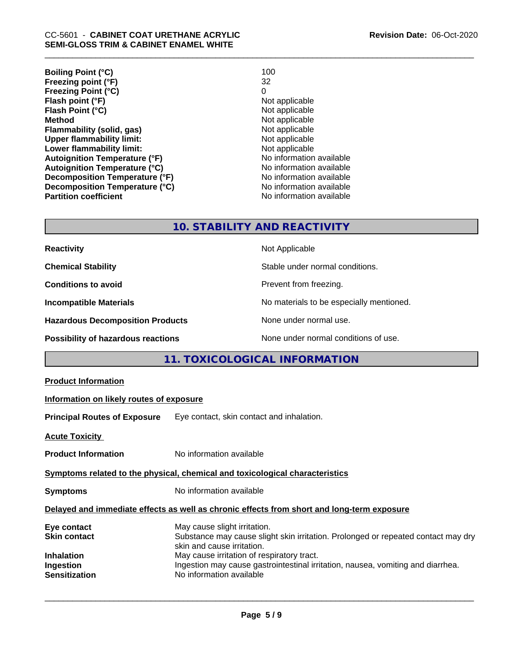| <b>Boiling Point (°C)</b>            | 100                      |
|--------------------------------------|--------------------------|
| Freezing point (°F)                  | 32                       |
| <b>Freezing Point (°C)</b>           | 0                        |
| Flash point (°F)                     | Not applicable           |
| Flash Point (°C)                     | Not applicable           |
| <b>Method</b>                        | Not applicable           |
| Flammability (solid, gas)            | Not applicable           |
| <b>Upper flammability limit:</b>     | Not applicable           |
| Lower flammability limit:            | Not applicable           |
| <b>Autoignition Temperature (°F)</b> | No information available |
| <b>Autoignition Temperature (°C)</b> | No information available |
| Decomposition Temperature (°F)       | No information available |
| Decomposition Temperature (°C)       | No information available |
| <b>Partition coefficient</b>         | No information available |

## **10. STABILITY AND REACTIVITY**

| <b>Reactivity</b>                         | Not Applicable                           |
|-------------------------------------------|------------------------------------------|
| <b>Chemical Stability</b>                 | Stable under normal conditions.          |
| <b>Conditions to avoid</b>                | Prevent from freezing.                   |
| <b>Incompatible Materials</b>             | No materials to be especially mentioned. |
| <b>Hazardous Decomposition Products</b>   | None under normal use.                   |
| <b>Possibility of hazardous reactions</b> | None under normal conditions of use.     |

# **11. TOXICOLOGICAL INFORMATION**

| <b>Product Information</b>                                                                   |                                                                                                                                                                                                                                                                                                              |  |
|----------------------------------------------------------------------------------------------|--------------------------------------------------------------------------------------------------------------------------------------------------------------------------------------------------------------------------------------------------------------------------------------------------------------|--|
| Information on likely routes of exposure                                                     |                                                                                                                                                                                                                                                                                                              |  |
| <b>Principal Routes of Exposure</b>                                                          | Eye contact, skin contact and inhalation.                                                                                                                                                                                                                                                                    |  |
| <b>Acute Toxicity</b>                                                                        |                                                                                                                                                                                                                                                                                                              |  |
| <b>Product Information</b>                                                                   | No information available                                                                                                                                                                                                                                                                                     |  |
| Symptoms related to the physical, chemical and toxicological characteristics                 |                                                                                                                                                                                                                                                                                                              |  |
| <b>Symptoms</b>                                                                              | No information available                                                                                                                                                                                                                                                                                     |  |
|                                                                                              | Delayed and immediate effects as well as chronic effects from short and long-term exposure                                                                                                                                                                                                                   |  |
| Eye contact<br><b>Skin contact</b><br><b>Inhalation</b><br>Ingestion<br><b>Sensitization</b> | May cause slight irritation.<br>Substance may cause slight skin irritation. Prolonged or repeated contact may dry<br>skin and cause irritation.<br>May cause irritation of respiratory tract.<br>Ingestion may cause gastrointestinal irritation, nausea, vomiting and diarrhea.<br>No information available |  |
|                                                                                              |                                                                                                                                                                                                                                                                                                              |  |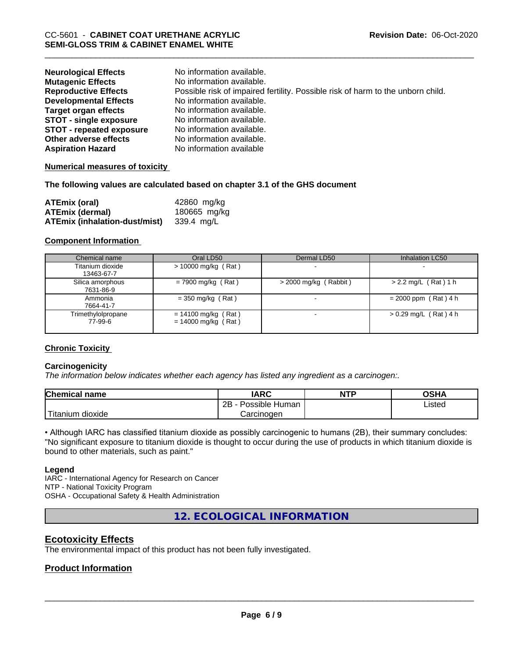| <b>Neurological Effects</b>     | No information available.                                                       |
|---------------------------------|---------------------------------------------------------------------------------|
| <b>Mutagenic Effects</b>        | No information available.                                                       |
| <b>Reproductive Effects</b>     | Possible risk of impaired fertility. Possible risk of harm to the unborn child. |
| <b>Developmental Effects</b>    | No information available.                                                       |
| <b>Target organ effects</b>     | No information available.                                                       |
| <b>STOT - single exposure</b>   | No information available.                                                       |
| <b>STOT - repeated exposure</b> | No information available.                                                       |
| Other adverse effects           | No information available.                                                       |
| <b>Aspiration Hazard</b>        | No information available                                                        |

#### **Numerical measures of toxicity**

#### **The following values are calculated based on chapter 3.1 of the GHS document**

| <b>ATEmix (oral)</b>                 | 42860 mg/kg  |
|--------------------------------------|--------------|
| <b>ATEmix (dermal)</b>               | 180665 mg/kg |
| <b>ATEmix (inhalation-dust/mist)</b> | 339.4 mg/L   |

#### **Component Information**

| Chemical name                  | Oral LD50                                      | Dermal LD50             | Inhalation LC50         |
|--------------------------------|------------------------------------------------|-------------------------|-------------------------|
| Titanium dioxide<br>13463-67-7 | $> 10000$ mg/kg (Rat)                          |                         |                         |
| Silica amorphous<br>7631-86-9  | $= 7900$ mg/kg (Rat)                           | $>$ 2000 mg/kg (Rabbit) | $> 2.2$ mg/L (Rat) 1 h  |
| Ammonia<br>7664-41-7           | $=$ 350 mg/kg (Rat)                            |                         | $= 2000$ ppm (Rat) 4 h  |
| Trimethylolpropane<br>77-99-6  | $= 14100$ mg/kg (Rat)<br>$= 14000$ mg/kg (Rat) |                         | $> 0.29$ mg/L (Rat) 4 h |

#### **Chronic Toxicity**

#### **Carcinogenicity**

*The information below indicateswhether each agency has listed any ingredient as a carcinogen:.*

| <b>Chemical name</b>          | <b>IARC</b>          | <b>NTP</b> | <b>OSHA</b>    |
|-------------------------------|----------------------|------------|----------------|
|                               | 2B<br>Possible Human |            | Listed<br>____ |
| .<br>n dioxide.<br>. Titanıum | Carcinogen           |            |                |

• Although IARC has classified titanium dioxide as possibly carcinogenic to humans (2B), their summary concludes: "No significant exposure to titanium dioxide is thought to occur during the use of products in which titanium dioxide is bound to other materials, such as paint."

#### **Legend**

IARC - International Agency for Research on Cancer NTP - National Toxicity Program OSHA - Occupational Safety & Health Administration

**12. ECOLOGICAL INFORMATION**

## **Ecotoxicity Effects**

The environmental impact of this product has not been fully investigated.

## **Product Information**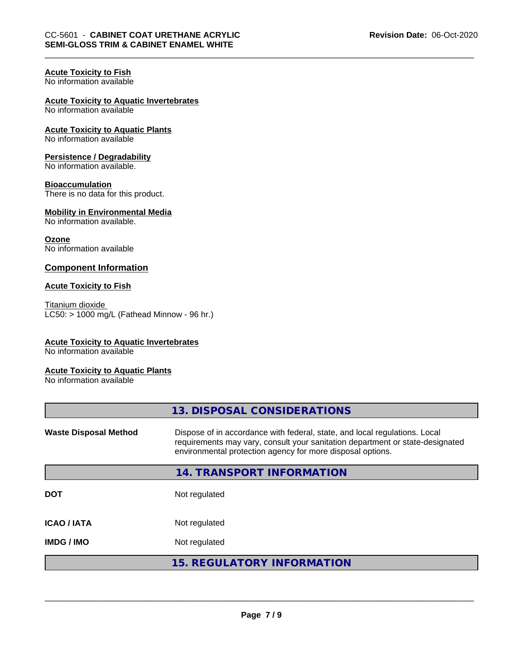## **Acute Toxicity to Fish**

No information available

## **Acute Toxicity to Aquatic Invertebrates**

No information available

#### **Acute Toxicity to Aquatic Plants** No information available

**Persistence / Degradability**

No information available.

## **Bioaccumulation**

There is no data for this product.

#### **Mobility in Environmental Media** No information available.

**Ozone**

# No information available

## **Component Information**

#### **Acute Toxicity to Fish**

Titanium dioxide  $LC50:$  > 1000 mg/L (Fathead Minnow - 96 hr.)

## **Acute Toxicity to Aquatic Invertebrates**

No information available

#### **Acute Toxicity to Aquatic Plants**

No information available

|                              | 13. DISPOSAL CONSIDERATIONS                                                                                                                                                                                               |
|------------------------------|---------------------------------------------------------------------------------------------------------------------------------------------------------------------------------------------------------------------------|
| <b>Waste Disposal Method</b> | Dispose of in accordance with federal, state, and local regulations. Local<br>requirements may vary, consult your sanitation department or state-designated<br>environmental protection agency for more disposal options. |
|                              | 14. TRANSPORT INFORMATION                                                                                                                                                                                                 |
| <b>DOT</b>                   | Not regulated                                                                                                                                                                                                             |
| <b>ICAO/IATA</b>             | Not regulated                                                                                                                                                                                                             |
| <b>IMDG / IMO</b>            | Not regulated                                                                                                                                                                                                             |
|                              | <b>15. REGULATORY INFORMATION</b>                                                                                                                                                                                         |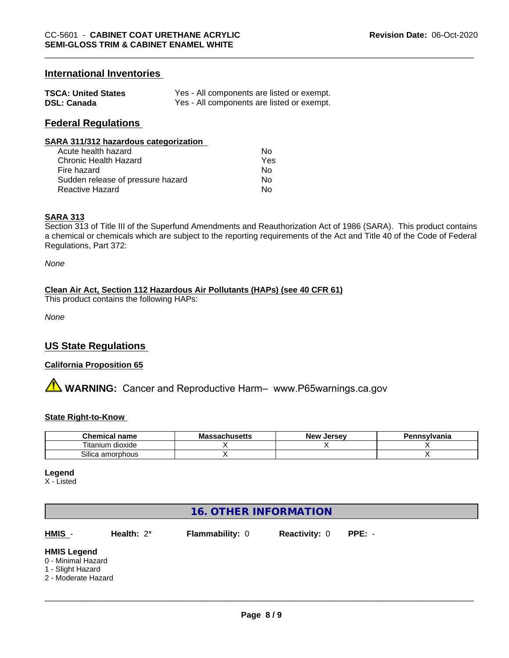## **International Inventories**

| <b>TSCA: United States</b> | Yes - All components are listed or exempt. |
|----------------------------|--------------------------------------------|
| <b>DSL: Canada</b>         | Yes - All components are listed or exempt. |

## **Federal Regulations**

#### **SARA 311/312 hazardous categorization**

| Acute health hazard               | N٥  |
|-----------------------------------|-----|
| Chronic Health Hazard             | Yes |
| Fire hazard                       | Nο  |
| Sudden release of pressure hazard | N٥  |
| Reactive Hazard                   | N٥  |

#### **SARA 313**

Section 313 of Title III of the Superfund Amendments and Reauthorization Act of 1986 (SARA). This product contains a chemical or chemicals which are subject to the reporting requirements of the Act and Title 40 of the Code of Federal Regulations, Part 372:

*None*

#### **Clean Air Act,Section 112 Hazardous Air Pollutants (HAPs) (see 40 CFR 61)**

This product contains the following HAPs:

*None*

## **US State Regulations**

#### **California Proposition 65**

**A WARNING:** Cancer and Reproductive Harm– www.P65warnings.ca.gov

#### **State Right-to-Know**

| <b>Chemical name</b>   | Mas<br>ssachusetts | <b>Jersev</b><br>New | Pennsvlvania |
|------------------------|--------------------|----------------------|--------------|
| ı dioxide<br>l itanium |                    |                      |              |
| Silica<br>ເ amorphous  |                    |                      |              |

**Legend**

X - Listed

## **16. OTHER INFORMATION**

**HMIS** - **Health:** 2\* **Flammability:** 0 **Reactivity:** 0 **PPE:** -

 $\overline{\phantom{a}}$  ,  $\overline{\phantom{a}}$  ,  $\overline{\phantom{a}}$  ,  $\overline{\phantom{a}}$  ,  $\overline{\phantom{a}}$  ,  $\overline{\phantom{a}}$  ,  $\overline{\phantom{a}}$  ,  $\overline{\phantom{a}}$  ,  $\overline{\phantom{a}}$  ,  $\overline{\phantom{a}}$  ,  $\overline{\phantom{a}}$  ,  $\overline{\phantom{a}}$  ,  $\overline{\phantom{a}}$  ,  $\overline{\phantom{a}}$  ,  $\overline{\phantom{a}}$  ,  $\overline{\phantom{a}}$ 

#### **HMIS Legend**

- 0 Minimal Hazard
- 1 Slight Hazard
- 2 Moderate Hazard